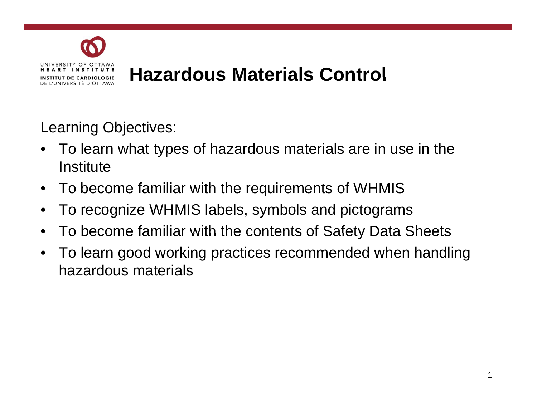

Learning Objectives:

- To learn what types of hazardous materials are in use in the **Institute**
- To become familiar with the requirements of WHMIS
- To recognize WHMIS labels, symbols and pictograms
- To become familiar with the contents of Safety Data Sheets
- To learn good working practices recommended when handling hazardous materials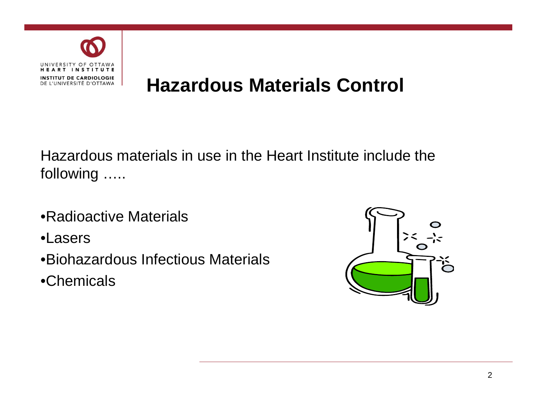

# **Hazardous Materials Control**

Hazardous materials in use in the Heart Institute include the followin g …..

- •Radioactive Materials
- •Lasers
- •Biohazardous Infectious Materials
- $\bullet$ Chemicals

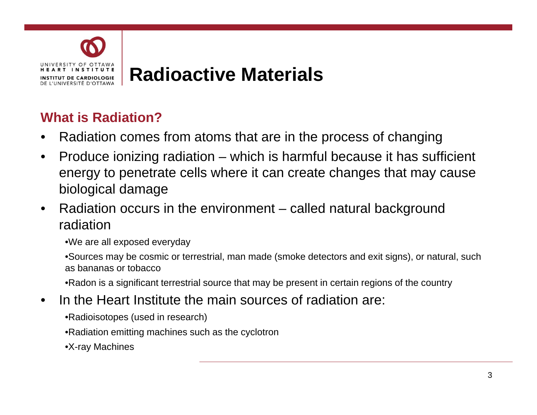

#### **What is Radiation?**

- Radiation comes from atoms that are in the process of changing
- Produce ionizing radiation which is harmful because it has sufficient energy to penetrate cells where it can create changes that may cause biological damage
- Radiation occurs in the environment called natural background radiation

•We are all exposed everyday

•Sources may be cosmic or terrestrial, man made (smoke detectors and exit signs), or natural, such as bananas or tobacco

• Radon is a significant terrestrial source that may be present in certain regions of the country

- In the Heart Institute the main sources of radiation are:
	- •Radioisotopes (used in research)
	- •Radiation emitting machines such as the cyclotron
	- •X-ray Machines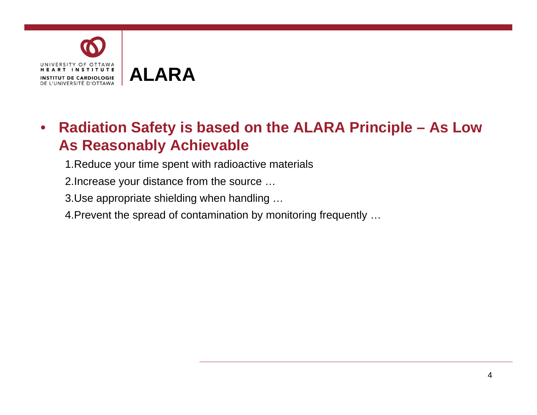

### • **Radiation Safety is based on the ALARA Principle – As Low As Reasonably Achievable**

- 1.Reduce your time spent with radioactive materials
- 2. Increase your distance from the source ...
- 3.Use appropriate shielding when handling …
- 4.Prevent the spread of contamination by monitoring frequently …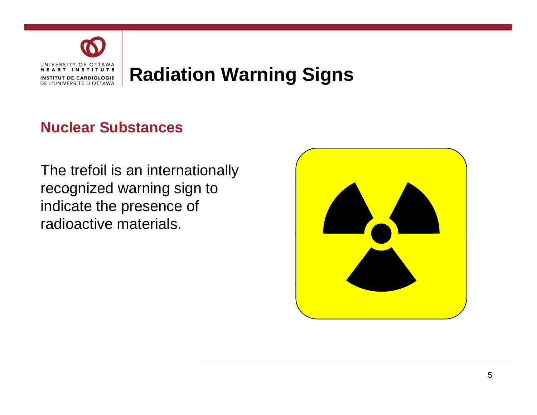

#### **Nuclear Substances**

The trefoil is an internationally recognized warning sign to indicate the presence of radioactive materials.

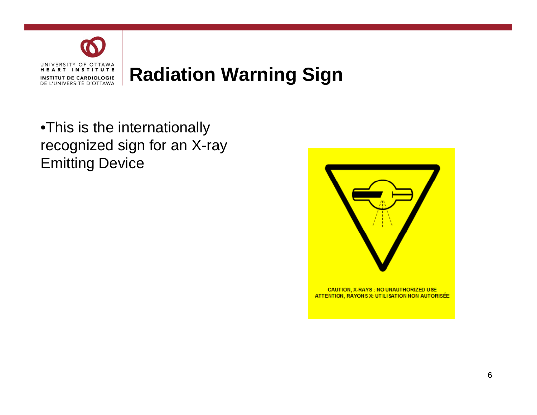

•This is the internationally recognized sign for an X-ray Emitting Device

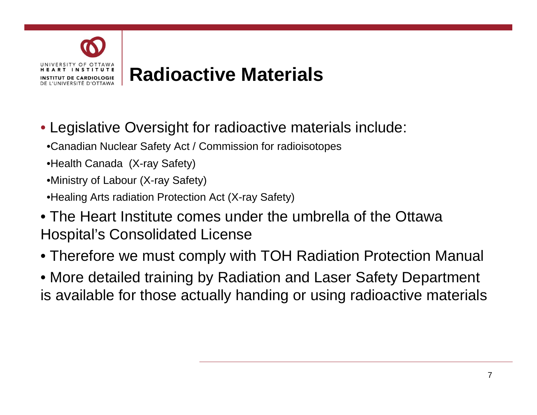

# **Radioactive Radioactive Materials Materials**

- Legislative Oversight for radioactive materials include:
	- •Canadian Nuclear Safety Act / Commission for radioisotopes
	- •Health Canada (X-ray Safety)
	- •Ministry of Labour (X-ray Safety)
	- •Healing Arts radiation Protection Act (X-ray Safety)
- The Heart Institute comes under the umbrella of the Ottawa Hospital's Consolidated License
- Therefore we must comply with TOH Radiation Protection Manual
- More detailed training by Radiation and Laser Safety Department is available for those actually handing or using radioactive materials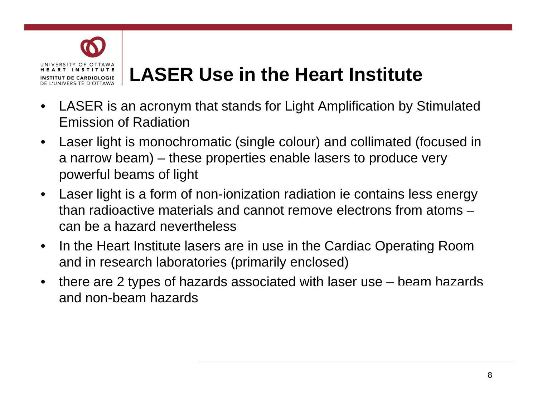

# **LASER Use in the Heart Institute Institute**

- LASER is an acronym that stands for Light Amplification by Stimulated Emission of Radiation
- Laser light is monochromatic (single colour) and collimated (focused in a narrow beam) – these properties enable lasers to produce very powerful beams of light
- Laser light is a form of non-ionization radiation ie contains less energy than radioactive materials and cannot remove electrons from atoms – can be a hazard nevertheless
- In the Heart Institute lasers are in use in the Cardiac Operating Room and in research laboratories (primarily enclosed)
- there are 2 types of hazards associated with laser use  $-$  beam hazards and non-beam hazards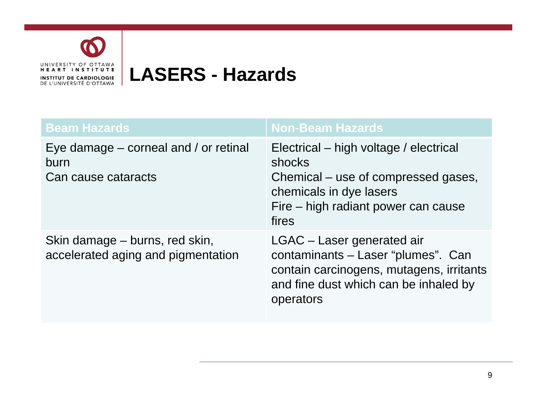

# **LASERS - Hazards**

| <b>Beam Hazards</b>                                                      | <b>Non-Beam Hazards</b>                                                                                                                                            |
|--------------------------------------------------------------------------|--------------------------------------------------------------------------------------------------------------------------------------------------------------------|
| Eye damage $-$ corneal and $/$ or retinal<br>burn<br>Can cause cataracts | Electrical – high voltage / electrical<br>shocks<br>Chemical – use of compressed gases,<br>chemicals in dye lasers<br>Fire – high radiant power can cause<br>fires |
| Skin damage – burns, red skin,<br>accelerated aging and pigmentation     | LGAC - Laser generated air<br>contaminants - Laser "plumes". Can<br>contain carcinogens, mutagens, irritants<br>and fine dust which can be inhaled by<br>operators |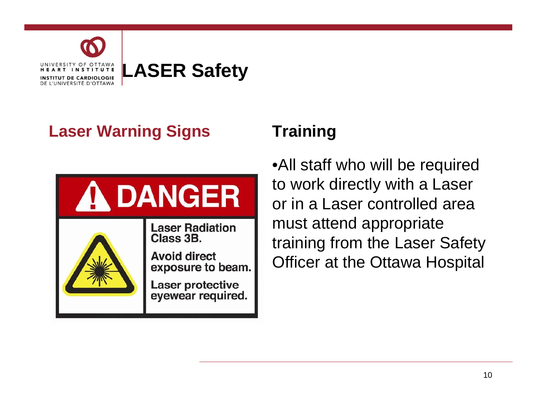

### **Laser Warning Signs Training**



•All staff who will be required to work directly with a Laser or in a Laser controlled area must attend appropriate training from the Laser Safety Officer at the Ottawa Hospital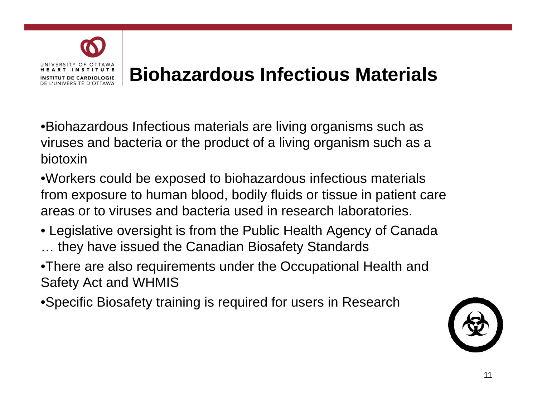

# **Biohazardous Infectious Materials Infectious Materials**

• Biohazardous Infectious materials are living organisms such as viruses and bacteria or the product of a living organism such as a biotoxin

• Workers could be exposed to biohazardous infectious materials from exposure to human blood, bodily fluids or tissue in patient care areas or to viruses and bacteria used in research laboratories.

- $\bullet$  Legislative oversight is from the Public Health Agency of Canada … they have issued the Canadian Biosafety Standards
- •There are also requirements under the Occupational Health and Safety Act and WHMIS
- •Specific Biosafety training is required for users in Research

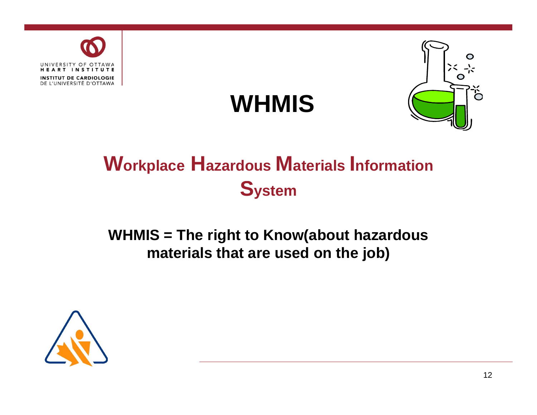





# **Workplace Hazardous Materials Information System**

#### **WHMIS = The right to Know(about hazardous to hazardous materials that are used on the job)**

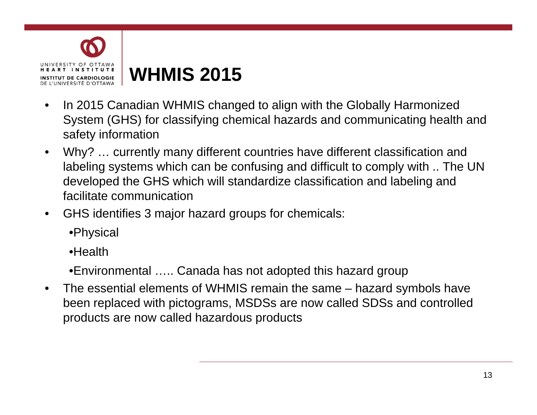

# **WHMIS 2015**

- In 2015 Canadian WHMIS changed to align with the Globally Harmonized System (GHS) for classifying chemical hazards and communicating health and safety information
- Why? … currently many different countries have different classification and labeling systems which can be confusing and difficult to comply with .. The UN developed the GHS which will standardize classification and labeling and facilitate communication
- GHS identifies 3 major hazard groups for chemicals:

•Physical

•Health

•Environmental ….. Canada has not adopted this hazard group

• The essential elements of WHMIS remain the same  $-$  hazard symbols have been replaced with pictograms, MSDSs are now called SDSs and controlled products are now called hazardous products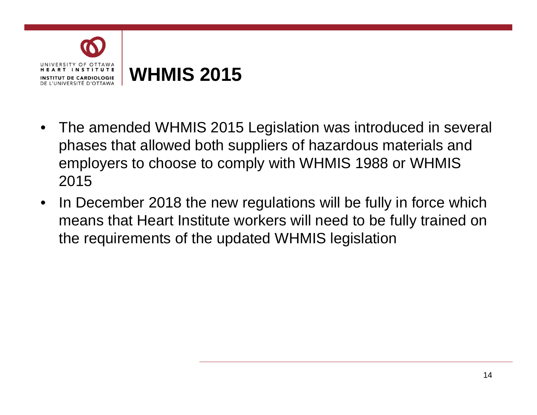

- The amended WHMIS 2015 Legislation was introduced in several phases that allowed both suppliers of hazardous materials and employers to choose to comply with WHMIS 1988 or WHMIS 2015
- In December 2018 the new regulations will be fully in force which means that Heart Institute workers will need to be fully trained on the requirements of the updated WHMIS legislation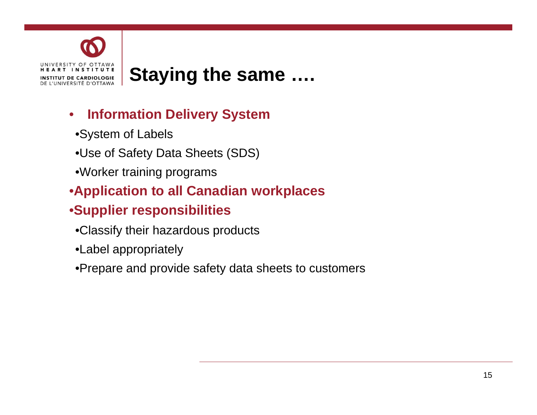

## **Staying the same ….**

#### • **Information Delivery System**

- •System of Labels
- •Use of Safety Data Sheets (SDS)
- •Worker training programs
- •**Application to all Canadian workplaces**

#### •**Supplier responsibilities**

- •Classify their hazardous products
- •Label appropriately
- •Prepare and provide safety data sheets to customers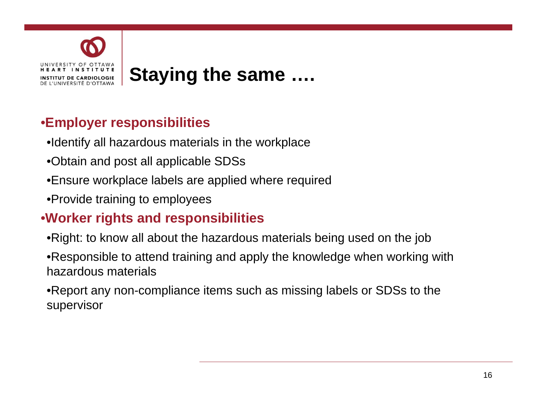

#### **•Employer responsibilities**

- •Identify all hazardous materials in the workplace
- •Obtain and post all applicable SDSs
- •Ensure workplace labels are applied where required
- •Provide training to employees

#### •**Worker rights and responsibilities**

- •Right: to know all about the hazardous materials being used on the job
- •Responsible to attend training and apply the knowledge when working with hazardous materials

•Report any non-compliance items such as missing labels or SDSs to the supervisor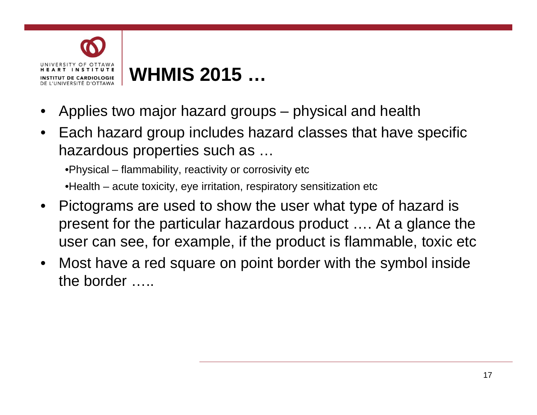

# **WHMIS 2015 2015 …**

- Applies two major hazard groups physical and health
- $\bullet~$  Each hazard group includes hazard classes that have specific hazardous properties such as …

•Physical – flammability, reactivity or corrosivity etc •Health – acute toxicity, eye irritation, respiratory sensitization etc

- Pictograms are used to show the user what type of hazard is present for the particular hazardous product …. At a glance the user can see, for example, if the product is flammable, toxic etc
- Most have a red square on point border with the symbol inside the border …..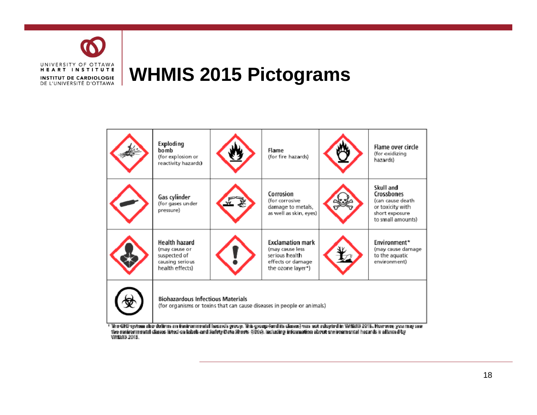

### **WHMIS 2015 Pictograms**



18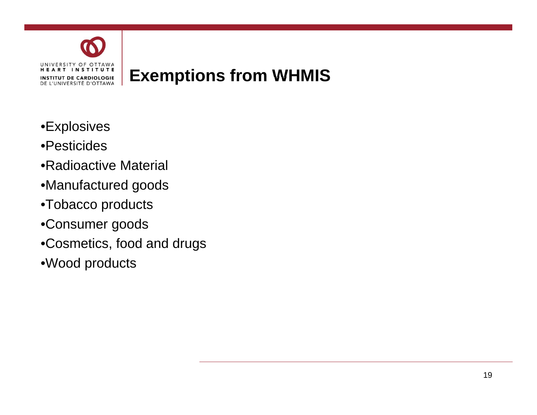

# **Exemptions from WHMIS**

- •Explosives
- •Pesticides
- •Radioactive Material
- Manu fac ture d goo ds
- •Tobacco products
- •Consumer goods
- •Cosmetics, food and drugs
- •Wood products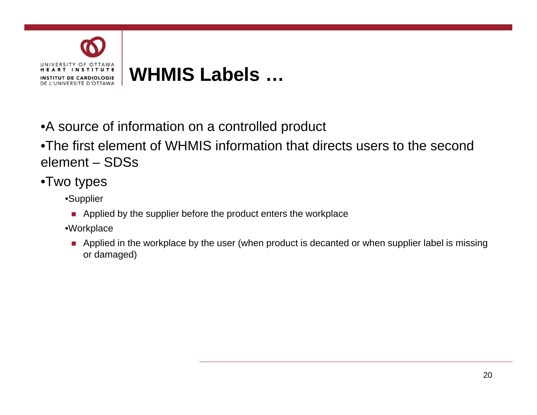

•A source of information on a controlled product

•The first element of WHMIS information that directs users to the second element – SDSs

- •Two types
	- •Supplier
		- **Applied by the supplier before the product enters the workplace**
	- •Workplace
		- **Applied in the workplace by the user (when product is decanted or when supplier label is missing** or damaged)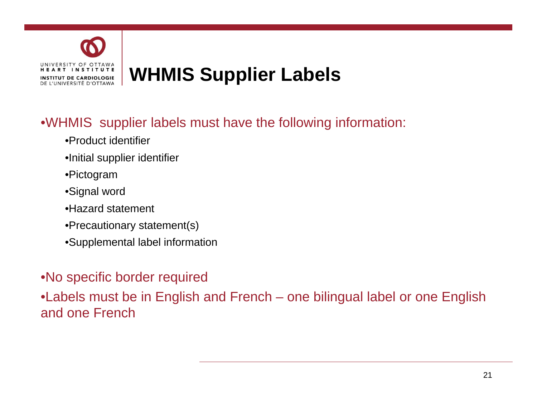

#### •WHMIS supplier labels must have the following information:

- •Product identifier
- •Initial supplier identifier
- •Pictogram
- •Signal word
- •Hazard statement
- •Precautionary statement(s)
- •Supplemental label information

#### •No specific border required

•Labels must be in English and French – one bilingual label or one English and one French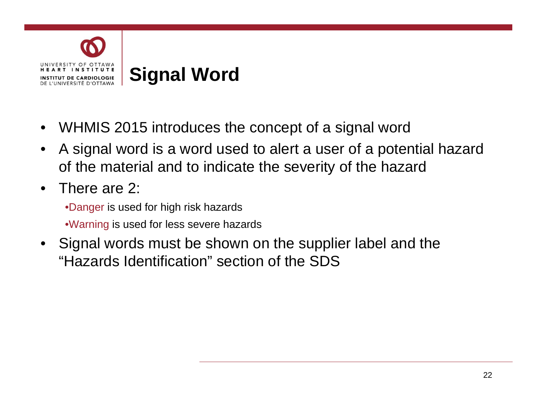

- WHMIS 2015 introduces the concept of a signal word
- A signal word is a word used to alert a user of a potential hazard of the material and to indicate the severity of the hazard
- There are 2:

•Danger is used for high risk hazards •Warning is used for less severe hazards

• Signal words must be shown on the supplier label and the "Hazards Identification" section of the SDS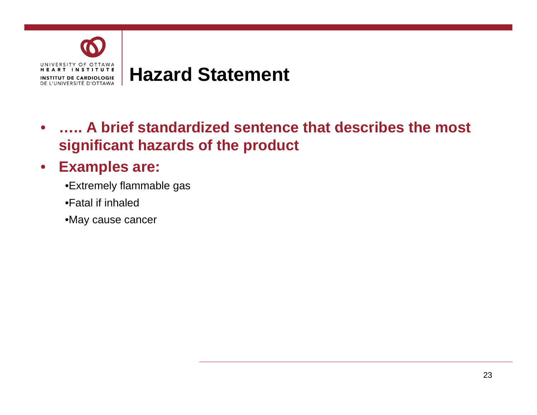

• **….. A brief standardized sentence that describes the most significant hazards of the product** 

#### • **Examples are:**

- •Extremely flammable gas
- •Fatal if inhaled
- •May cause cancer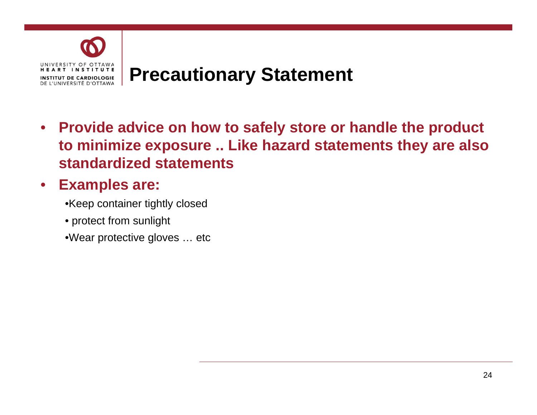

# **Precautionary Statement**

• **Provide advice on how to safely store or handle the product product to minimize exposure .. Like hazard statements they are also standardized statements** 

#### • **Examples are:**

•Keep container tightly closed

- protect from sunlight
- •Wear protective gloves … etc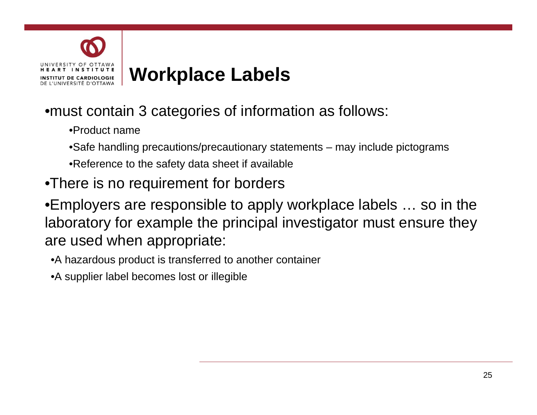

#### •must contain 3 categories of information as follows:

- •Product name
- •Safe handling precautions/precautionary statements may include pictograms
- •Reference to the safety data sheet if available
- •There is no requirement for borders

•Employers are responsible to apply workplace labels … so in the laboratory for example the principal investigator must ensure they are used when appropriate:

- •A hazardous product is transferred to another container
- •A supplier label becomes lost or illegible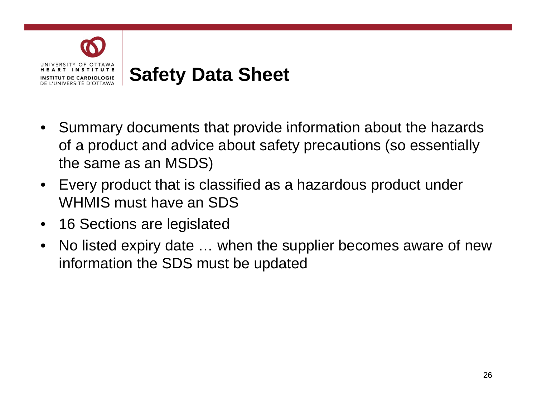

- Summary documents that provide information about the hazards of a product and advice about safety precautions (so essentially the same as an MSDS)
- Every product that is classified as a hazardous product under WHMIS must have an SDS
- 16 Sections are legislated
- No listed expiry date ... when the supplier becomes aware of new information the SDS must be updated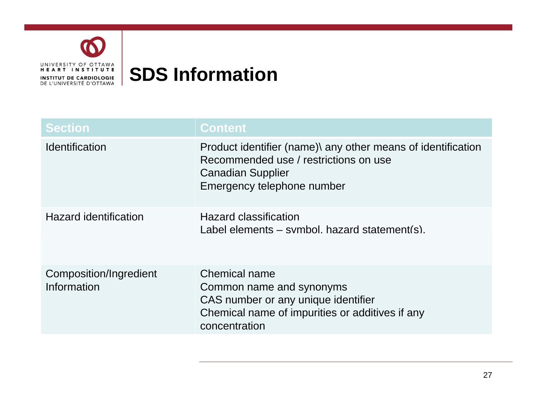

# **SDS Information**

| <b>Section</b>                        | <b>Content</b>                                                                                                                                                  |
|---------------------------------------|-----------------------------------------------------------------------------------------------------------------------------------------------------------------|
| <i><u><b>Identification</b></u></i>   | Product identifier (name)\ any other means of identification<br>Recommended use / restrictions on use<br><b>Canadian Supplier</b><br>Emergency telephone number |
| <b>Hazard identification</b>          | <b>Hazard classification</b><br>Label elements $-$ symbol, hazard statement(s).                                                                                 |
| Composition/Ingredient<br>Information | <b>Chemical name</b><br>Common name and synonyms<br>CAS number or any unique identifier<br>Chemical name of impurities or additives if any<br>concentration     |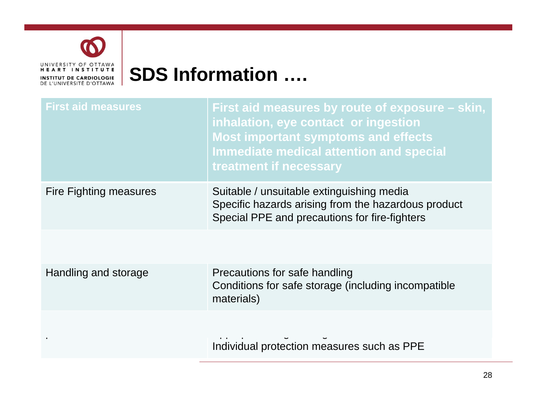

# **SDS Information ….**

| <b>First aid measures</b> | First aid measures by route of exposure – skin,<br>inhalation, eye contact or ingestion<br><b>Most important symptoms and effects</b><br><b>Immediate medical attention and special</b><br>treatment if necessary |
|---------------------------|-------------------------------------------------------------------------------------------------------------------------------------------------------------------------------------------------------------------|
| Fire Fighting measures    | Suitable / unsuitable extinguishing media<br>Specific hazards arising from the hazardous product<br>Special PPE and precautions for fire-fighters                                                                 |
|                           |                                                                                                                                                                                                                   |
| Handling and storage      | Precautions for safe handling<br>Conditions for safe storage (including incompatible<br>materials)                                                                                                                |
|                           | Individual protection measures such as PPE                                                                                                                                                                        |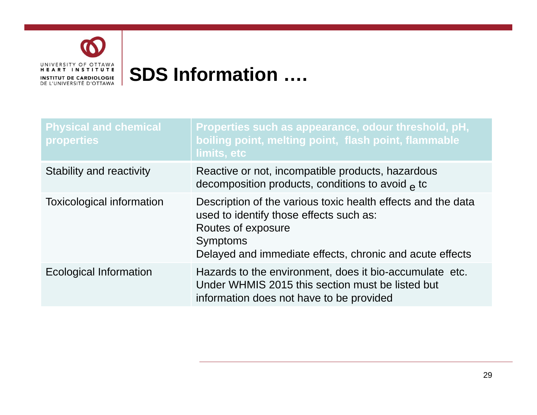

# **SDS Information ….**

| <b>Physical and chemical</b><br>properties | Properties such as appearance, odour threshold, pH,<br>boiling point, melting point, flash point, flammable<br>limits, etc                                                                                   |
|--------------------------------------------|--------------------------------------------------------------------------------------------------------------------------------------------------------------------------------------------------------------|
| <b>Stability and reactivity</b>            | Reactive or not, incompatible products, hazardous<br>decomposition products, conditions to avoid $\alpha$ to                                                                                                 |
| <b>Toxicological information</b>           | Description of the various toxic health effects and the data<br>used to identify those effects such as:<br>Routes of exposure<br><b>Symptoms</b><br>Delayed and immediate effects, chronic and acute effects |
| <b>Ecological Information</b>              | Hazards to the environment, does it bio-accumulate etc.<br>Under WHMIS 2015 this section must be listed but<br>information does not have to be provided                                                      |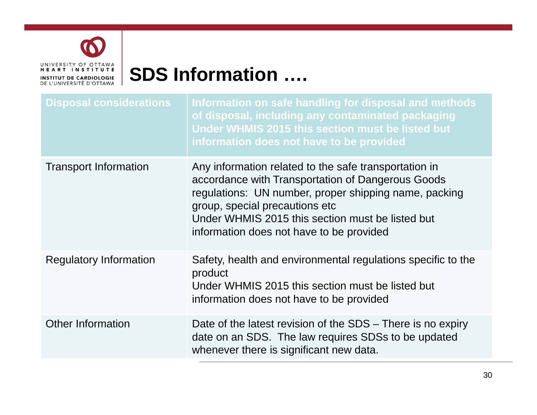

# **SDS Information ….**

| <b>Disposal considerations</b> | Information on safe handling for disposal and methods<br>of disposal, including any contaminated packaging<br>Under WHMIS 2015 this section must be listed but<br>information does not have to be provided                                                                                            |
|--------------------------------|-------------------------------------------------------------------------------------------------------------------------------------------------------------------------------------------------------------------------------------------------------------------------------------------------------|
| <b>Transport Information</b>   | Any information related to the safe transportation in<br>accordance with Transportation of Dangerous Goods<br>regulations: UN number, proper shipping name, packing<br>group, special precautions etc<br>Under WHMIS 2015 this section must be listed but<br>information does not have to be provided |
| <b>Regulatory Information</b>  | Safety, health and environmental regulations specific to the<br>product<br>Under WHMIS 2015 this section must be listed but<br>information does not have to be provided                                                                                                                               |
| <b>Other Information</b>       | Date of the latest revision of the SDS – There is no expiry<br>date on an SDS. The law requires SDSs to be updated<br>whenever there is significant new data.                                                                                                                                         |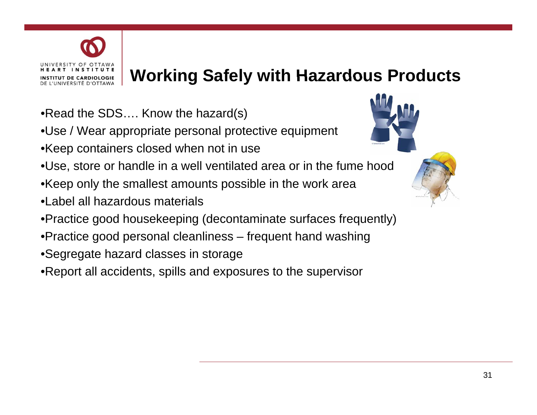

### **Working Safely with Hazardous Products**

- •Read the SDS…. Know the hazard(s)
- •Use / Wear appropriate personal protective equipment
- •Keep containers closed when not in use
- •Use, store or handle in a well ventilated area or in the fume hood
- $\bullet$ Keep only the smallest amounts possible in the work area
- •Label all hazardous materials
- •Practice good housekeeping (decontaminate surfaces frequently)
- Practice goo d personal cleanliness frequent han d washing
- •Segregate hazard classes in storage
- •Report all accidents, spills and exposures to the supervisor

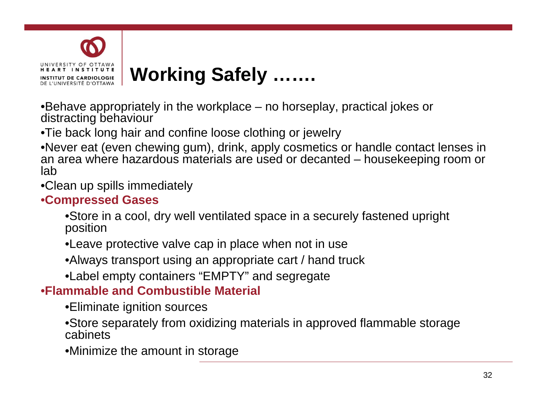

•Behave appropriately in the workplace – no horseplay, practical jokes or distracting behaviour

•Tie back long hair and confine loose clothing or jewelry

•Never eat (even chewing gum), drink, apply cosmetics or handle contact lenses in an area where hazardous materials are used or decanted – housekeeping room or lab

•Clean up spills immediately

#### •**Compressed Gases**

•Store in a cool, dry well ventilated space in a securely fastened upright position

•Leave protective valve cap in place when not in use

•Always transport using an appropriate cart / hand truck

•Label empty containers "EMPTY" and segregate

#### •**Flammable and Combustible Material**

•Eliminate ignition sources

•Store separately from oxidizing materials in approved flammable storage cabinets

•Minimize the amount in storage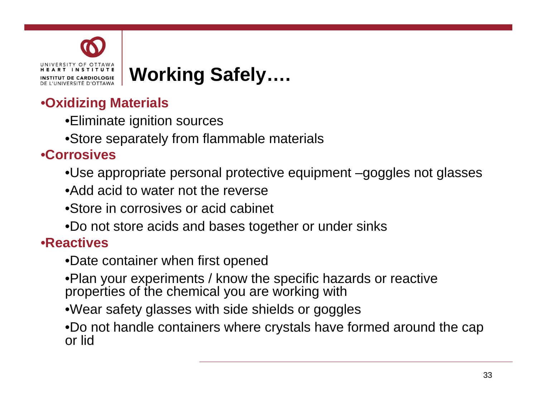

# **Working Safely....**

#### •**Oxidizing Materials**

- •Eliminate ignition sources
- •Store separately from flammable materials

#### •**Corrosives**

•Use appropriate personal protective equipment –goggles not glasses

- •Add acid to water not the reverse
- •Store in corrosives or acid cabinet
- •Do not store acids and bases together or under sinks

#### •**Reactives**

- •Date container when first opened
- •Plan your experiments / know the specific hazards or reactive properties of the chemical you are working with
- •Wear safety glasses with side shields or goggles
- •Do not handle containers where crystals have formed around the cap or lid